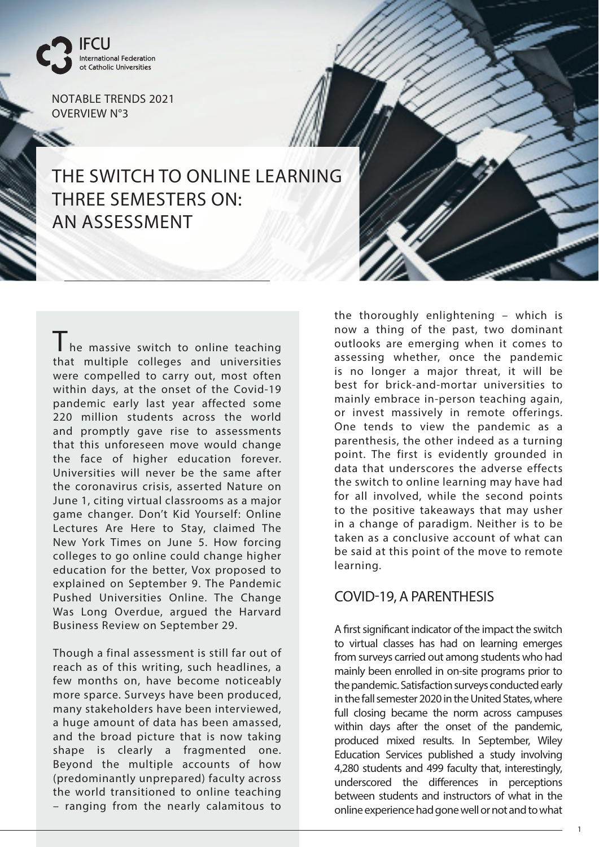

Ý.

NOTABLE TRENDS 2021 OVERVIEW N°3

## THE SWITCH TO ONLINE LEARNING THREE SEMESTERS ON: AN ASSESSMENT

The massive switch to online teaching that multiple colleges and universities were compelled to carry out, most often within days, at the onset of the Covid-19 pandemic early last year affected some 220 million students across the world and promptly gave rise to assessments that this unforeseen move would change the face of higher education forever. Universities will never be the same after the coronavirus crisis, asserted Nature on June 1, citing virtual classrooms as a major game changer. Don't Kid Yourself: Online Lectures Are Here to Stay, claimed The New York Times on June 5. How forcing colleges to go online could change higher education for the better, Vox proposed to explained on September 9. The Pandemic Pushed Universities Online. The Change Was Long Overdue, argued the Harvard Business Review on September 29.

Though a final assessment is still far out of reach as of this writing, such headlines, a few months on, have become noticeably more sparce. Surveys have been produced, many stakeholders have been interviewed, a huge amount of data has been amassed, and the broad picture that is now taking shape is clearly a fragmented one. Beyond the multiple accounts of how (predominantly unprepared) faculty across the world transitioned to online teaching – ranging from the nearly calamitous to

the thoroughly enlightening – which is now a thing of the past, two dominant outlooks are emerging when it comes to assessing whether, once the pandemic is no longer a major threat, it will be best for brick-and-mortar universities to mainly embrace in-person teaching again, or invest massively in remote offerings. One tends to view the pandemic as a parenthesis, the other indeed as a turning point. The first is evidently grounded in data that underscores the adverse effects the switch to online learning may have had for all involved, while the second points to the positive takeaways that may usher in a change of paradigm. Neither is to be taken as a conclusive account of what can be said at this point of the move to remote learning.

## COVID-19, A PARENTHESIS

A first significant indicator of the impact the switch to virtual classes has had on learning emerges from surveys carried out among students who had mainly been enrolled in on-site programs prior to the pandemic. Satisfaction surveys conducted early in the fall semester 2020 in the United States, where full closing became the norm across campuses within days after the onset of the pandemic, produced mixed results. In September, Wiley Education Services published a study involving 4,280 students and 499 faculty that, interestingly, underscored the differences in perceptions between students and instructors of what in the online experience had gone well or not and to what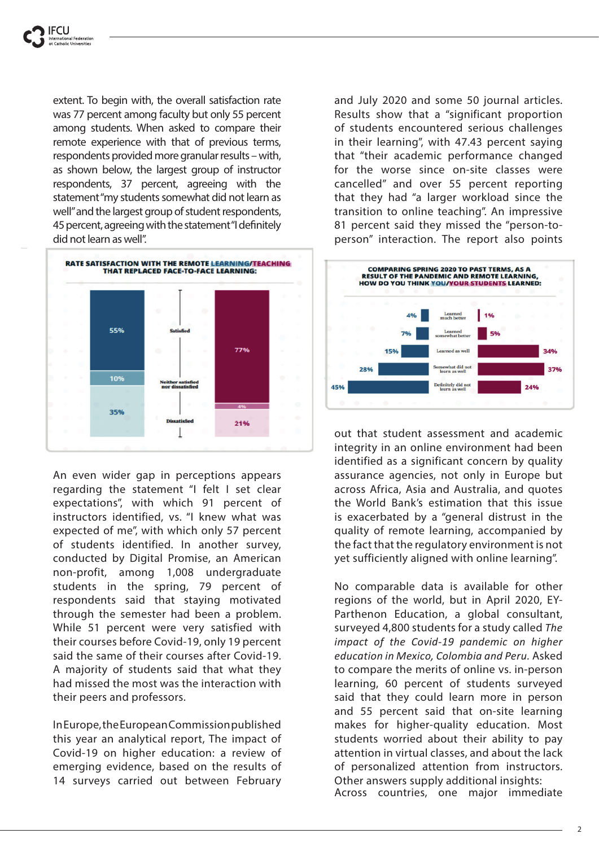extent. To begin with, the overall satisfaction rate was 77 percent among faculty but only 55 percent among students. When asked to compare their remote experience with that of previous terms, respondents provided more granular results – with, as shown below, the largest group of instructor respondents, 37 percent, agreeing with the statement "my students somewhat did not learn as well" and the largest group of student respondents, 45 percent, agreeing with the statement "I definitely did not learn as well".



An even wider gap in perceptions appears regarding the statement "I felt I set clear expectations", with which 91 percent of instructors identified, vs. "I knew what was expected of me", with which only 57 percent of students identified. In another survey, conducted by Digital Promise, an American non-profit, among 1,008 undergraduate students in the spring, 79 percent of respondents said that staying motivated through the semester had been a problem. While 51 percent were very satisfied with their courses before Covid-19, only 19 percent said the same of their courses after Covid-19. A majority of students said that what they had missed the most was the interaction with their peers and professors.

In Europe, the European Commission published this year an analytical report, The impact of Covid-19 on higher education: a review of emerging evidence, based on the results of 14 surveys carried out between February

and July 2020 and some 50 journal articles. Results show that a "significant proportion of students encountered serious challenges in their learning", with 47.43 percent saying that "their academic performance changed for the worse since on-site classes were cancelled" and over 55 percent reporting that they had "a larger workload since the transition to online teaching". An impressive 81 percent said they missed the "person-toperson" interaction. The report also points



out that student assessment and academic integrity in an online environment had been identified as a significant concern by quality assurance agencies, not only in Europe but across Africa, Asia and Australia, and quotes the World Bank's estimation that this issue is exacerbated by a "general distrust in the quality of remote learning, accompanied by the fact that the regulatory environment is not yet sufficiently aligned with online learning".

No comparable data is available for other regions of the world, but in April 2020, EY-Parthenon Education, a global consultant, surveyed 4,800 students for a study called *The impact of the Covid-19 pandemic on higher education in Mexico, Colombia and Peru.* Asked to compare the merits of online vs. in-person learning, 60 percent of students surveyed said that they could learn more in person and 55 percent said that on-site learning makes for higher-quality education. Most students worried about their ability to pay attention in virtual classes, and about the lack of personalized attention from instructors. Other answers supply additional insights: Across countries, one major immediate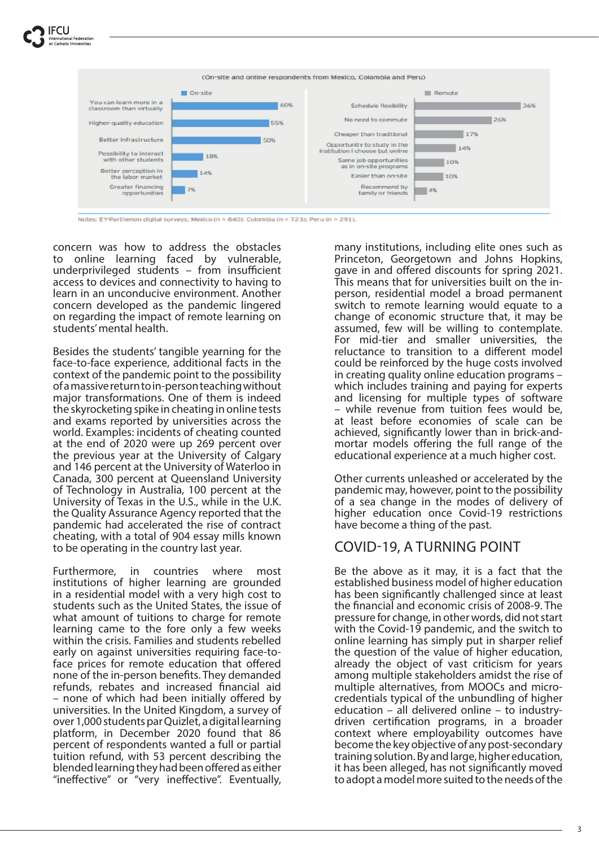

Notes: EY-Parthenon digital surveys; Mexico (n = 840); Colombia (n = 723); Peru (n = 291).

concern was how to address the obstacles to online learning faced by vulnerable, underprivileged students  $-$  from insufficient access to devices and connectivity to having to learn in an unconducive environment. Another concern developed as the pandemic lingered on regarding the impact of remote learning on students' mental health.

Besides the students' tangible yearning for the face-to-face experience, additional facts in the context of the pandemic point to the possibility of a massive return to in-person teaching without major transformations. One of them is indeed the skyrocketing spike in cheating in online tests and exams reported by universities across the world. Examples: incidents of cheating counted at the end of 2020 were up 269 percent over the previous year at the University of Calgary and 146 percent at the University of Waterloo in Canada, 300 percent at Queensland University of Technology in Australia, 100 percent at the University of Texas in the U.S., while in the U.K. the Quality Assurance Agency reported that the pandemic had accelerated the rise of contract cheating, with a total of 904 essay mills known to be operating in the country last year.

Furthermore, in countries where most institutions of higher learning are grounded in a residential model with a very high cost to students such as the United States, the issue of what amount of tuitions to charge for remote learning came to the fore only a few weeks within the crisis. Families and students rebelled early on against universities requiring face-toface prices for remote education that offered none of the in-person benefits. They demanded refunds, rebates and increased financial aid – none of which had been initially offered by universities. In the United Kingdom, a survey of over 1,000 students par Quizlet, a digital learning platform, in December 2020 found that 86 percent of respondents wanted a full or partial tuition refund, with 53 percent describing the blended learning they had been offered as either "ineffective" or "very ineffective". Eventually,

many institutions, including elite ones such as Princeton, Georgetown and Johns Hopkins, gave in and offered discounts for spring 2021. This means that for universities built on the inperson, residential model a broad permanent switch to remote learning would equate to a change of economic structure that, it may be assumed, few will be willing to contemplate. For mid-tier and smaller universities, the reluctance to transition to a different model could be reinforced by the huge costs involved in creating quality online education programs – which includes training and paying for experts and licensing for multiple types of software – while revenue from tuition fees would be, at least before economies of scale can be achieved, significantly lower than in brick-andmortar models offering the full range of the educational experience at a much higher cost.

Other currents unleashed or accelerated by the pandemic may, however, point to the possibility of a sea change in the modes of delivery of higher education once Covid-19 restrictions have become a thing of the past.

## COVID-19, A TURNING POINT

Be the above as it may, it is a fact that the established business model of higher education has been significantly challenged since at least the financial and economic crisis of 2008-9. The pressure for change, in other words, did not start with the Covid-19 pandemic, and the switch to online learning has simply put in sharper relief the question of the value of higher education, already the object of vast criticism for years among multiple stakeholders amidst the rise of multiple alternatives, from MOOCs and microcredentials typical of the unbundling of higher education – all delivered online – to industrydriven certification programs, in a broader context where employability outcomes have become the key objective of any post-secondary training solution. By and large, higher education, it has been alleged, has not significantly moved to adopt a model more suited to the needs of the